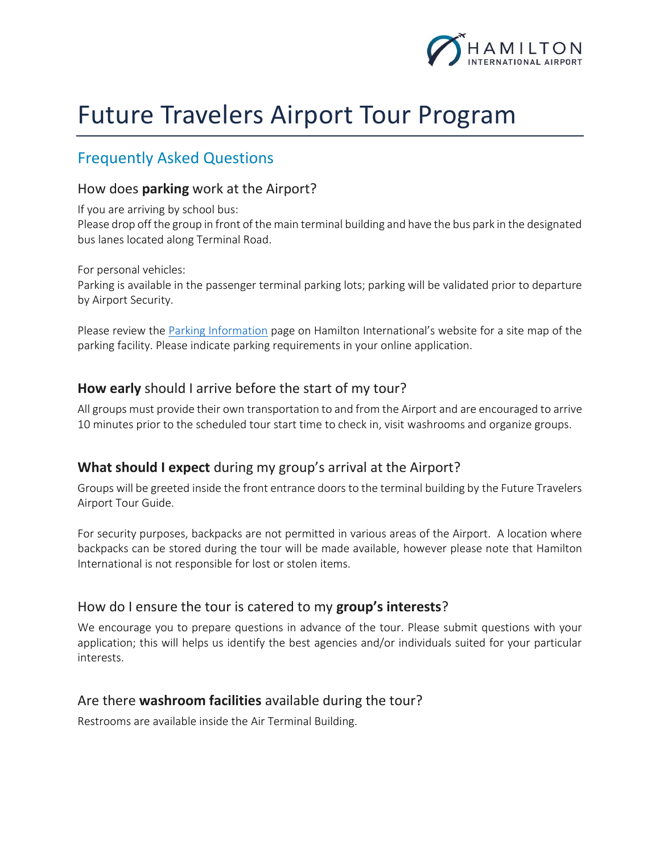

# Future Travelers Airport Tour Program

## Frequently Asked Questions

#### How does **parking** work at the Airport?

If you are arriving by school bus:

Please drop off the group in front of the main terminal building and have the bus park in the designated bus lanes located along Terminal Road.

For personal vehicles:

Parking is available in the passenger terminal parking lots; parking will be validated prior to departure by Airport Security.

Please review the [Parking Information](http://flyhamilton.ca/passenger/the-airport/parking-information/) page on Hamilton International's website for a site map of the parking facility. Please indicate parking requirements in your online application.

#### **How early** should I arrive before the start of my tour?

All groups must provide their own transportation to and from the Airport and are encouraged to arrive 10 minutes prior to the scheduled tour start time to check in, visit washrooms and organize groups.

#### **What should I expect** during my group's arrival at the Airport?

Groups will be greeted inside the front entrance doors to the terminal building by the Future Travelers Airport Tour Guide.

For security purposes, backpacks are not permitted in various areas of the Airport. A location where backpacks can be stored during the tour will be made available, however please note that Hamilton International is not responsible for lost or stolen items.

#### How do I ensure the tour is catered to my **group's interests**?

We encourage you to prepare questions in advance of the tour. Please submit questions with your application; this will helps us identify the best agencies and/or individuals suited for your particular interests.

#### Are there **washroom facilities** available during the tour?

Restrooms are available inside the Air Terminal Building.